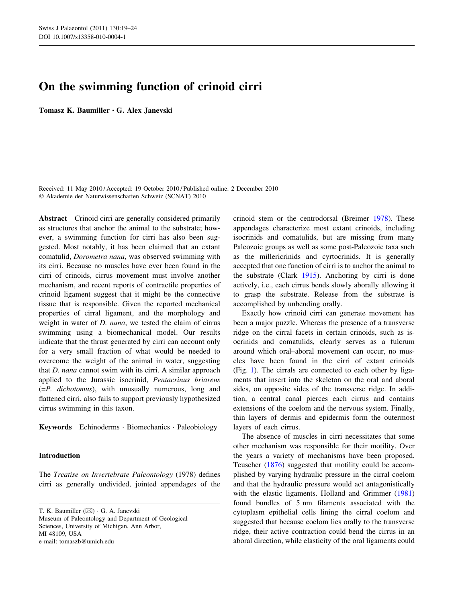# On the swimming function of crinoid cirri

Tomasz K. Baumiller • G. Alex Janevski

Received: 11 May 2010 / Accepted: 19 October 2010 / Published online: 2 December 2010 - Akademie der Naturwissenschaften Schweiz (SCNAT) 2010

Abstract Crinoid cirri are generally considered primarily as structures that anchor the animal to the substrate; however, a swimming function for cirri has also been suggested. Most notably, it has been claimed that an extant comatulid, Dorometra nana, was observed swimming with its cirri. Because no muscles have ever been found in the cirri of crinoids, cirrus movement must involve another mechanism, and recent reports of contractile properties of crinoid ligament suggest that it might be the connective tissue that is responsible. Given the reported mechanical properties of cirral ligament, and the morphology and weight in water of *D. nana*, we tested the claim of cirrus swimming using a biomechanical model. Our results indicate that the thrust generated by cirri can account only for a very small fraction of what would be needed to overcome the weight of the animal in water, suggesting that D. nana cannot swim with its cirri. A similar approach applied to the Jurassic isocrinid, Pentacrinus briareus (=P. dichotomus), with unusually numerous, long and flattened cirri, also fails to support previously hypothesized cirrus swimming in this taxon.

Keywords Echinoderms - Biomechanics - Paleobiology

## Introduction

The Treatise on Invertebrate Paleontology (1978) defines cirri as generally undivided, jointed appendages of the

T. K. Baumiller  $(\boxtimes) \cdot G$ . A. Janevski Museum of Paleontology and Department of Geological Sciences, University of Michigan, Ann Arbor, MI 48109, USA e-mail: tomaszb@umich.edu

crinoid stem or the centrodorsal (Breimer [1978\)](#page-4-0). These appendages characterize most extant crinoids, including isocrinids and comatulids, but are missing from many Paleozoic groups as well as some post-Paleozoic taxa such as the millericrinids and cyrtocrinids. It is generally accepted that one function of cirri is to anchor the animal to the substrate (Clark [1915\)](#page-4-0). Anchoring by cirri is done actively, i.e., each cirrus bends slowly aborally allowing it to grasp the substrate. Release from the substrate is accomplished by unbending orally.

Exactly how crinoid cirri can generate movement has been a major puzzle. Whereas the presence of a transverse ridge on the cirral facets in certain crinoids, such as isocrinids and comatulids, clearly serves as a fulcrum around which oral–aboral movement can occur, no muscles have been found in the cirri of extant crinoids (Fig. [1\)](#page-1-0). The cirrals are connected to each other by ligaments that insert into the skeleton on the oral and aboral sides, on opposite sides of the transverse ridge. In addition, a central canal pierces each cirrus and contains extensions of the coelom and the nervous system. Finally, thin layers of dermis and epidermis form the outermost layers of each cirrus.

The absence of muscles in cirri necessitates that some other mechanism was responsible for their motility. Over the years a variety of mechanisms have been proposed. Teuscher [\(1876](#page-4-0)) suggested that motility could be accomplished by varying hydraulic pressure in the cirral coelom and that the hydraulic pressure would act antagonistically with the elastic ligaments. Holland and Grimmer ([1981\)](#page-4-0) found bundles of 5 nm filaments associated with the cytoplasm epithelial cells lining the cirral coelom and suggested that because coelom lies orally to the transverse ridge, their active contraction could bend the cirrus in an aboral direction, while elasticity of the oral ligaments could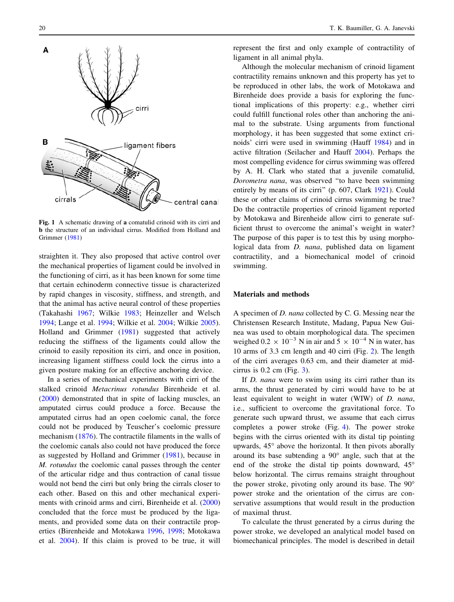<span id="page-1-0"></span>

Fig. 1 A schematic drawing of a comatulid crinoid with its cirri and b the structure of an individual cirrus. Modified from Holland and Grimmer ([1981\)](#page-4-0)

straighten it. They also proposed that active control over the mechanical properties of ligament could be involved in the functioning of cirri, as it has been known for some time that certain echinoderm connective tissue is characterized by rapid changes in viscosity, stiffness, and strength, and that the animal has active neural control of these properties (Takahashi [1967](#page-4-0); Wilkie [1983;](#page-5-0) Heinzeller and Welsch [1994;](#page-4-0) Lange et al. [1994;](#page-4-0) Wilkie et al. [2004](#page-5-0); Wilkie [2005](#page-5-0)). Holland and Grimmer ([1981\)](#page-4-0) suggested that actively reducing the stiffness of the ligaments could allow the crinoid to easily reposition its cirri, and once in position, increasing ligament stiffness could lock the cirrus into a given posture making for an effective anchoring device.

In a series of mechanical experiments with cirri of the stalked crinoid Metacrinus rotundus Birenheide et al. [\(2000](#page-4-0)) demonstrated that in spite of lacking muscles, an amputated cirrus could produce a force. Because the amputated cirrus had an open coelomic canal, the force could not be produced by Teuscher's coelomic pressure mechanism [\(1876](#page-4-0)). The contractile filaments in the walls of the coelomic canals also could not have produced the force as suggested by Holland and Grimmer ([1981\)](#page-4-0), because in M. rotundus the coelomic canal passes through the center of the articular ridge and thus contraction of canal tissue would not bend the cirri but only bring the cirrals closer to each other. Based on this and other mechanical experiments with crinoid arms and cirri, Birenheide et al. ([2000\)](#page-4-0) concluded that the force must be produced by the ligaments, and provided some data on their contractile properties (Birenheide and Motokawa [1996](#page-4-0), [1998;](#page-4-0) Motokawa et al. [2004](#page-4-0)). If this claim is proved to be true, it will

represent the first and only example of contractility of ligament in all animal phyla.

Although the molecular mechanism of crinoid ligament contractility remains unknown and this property has yet to be reproduced in other labs, the work of Motokawa and Birenheide does provide a basis for exploring the functional implications of this property: e.g., whether cirri could fulfill functional roles other than anchoring the animal to the substrate. Using arguments from functional morphology, it has been suggested that some extinct crinoids' cirri were used in swimming (Hauff [1984\)](#page-4-0) and in active filtration (Seilacher and Hauff [2004\)](#page-4-0). Perhaps the most compelling evidence for cirrus swimming was offered by A. H. Clark who stated that a juvenile comatulid, Dorometra nana, was observed ''to have been swimming entirely by means of its cirri" (p. 607, Clark [1921\)](#page-4-0). Could these or other claims of crinoid cirrus swimming be true? Do the contractile properties of crinoid ligament reported by Motokawa and Birenheide allow cirri to generate sufficient thrust to overcome the animal's weight in water? The purpose of this paper is to test this by using morphological data from *D. nana*, published data on ligament contractility, and a biomechanical model of crinoid swimming.

## Materials and methods

A specimen of D. nana collected by C. G. Messing near the Christensen Research Institute, Madang, Papua New Guinea was used to obtain morphological data. The specimen weighed  $0.2 \times 10^{-3}$  N in air and  $5 \times 10^{-4}$  N in water, has 10 arms of 3.3 cm length and 40 cirri (Fig. [2](#page-2-0)). The length of the cirri averages 0.63 cm, and their diameter at midcirrus is  $0.2$  cm (Fig. [3\)](#page-2-0).

If *D. nana* were to swim using its cirri rather than its arms, the thrust generated by cirri would have to be at least equivalent to weight in water (WIW) of D. nana, i.e., sufficient to overcome the gravitational force. To generate such upward thrust, we assume that each cirrus completes a power stroke (Fig. [4\)](#page-2-0). The power stroke begins with the cirrus oriented with its distal tip pointing upwards,  $45^\circ$  above the horizontal. It then pivots aborally around its base subtending a  $90^\circ$  angle, such that at the end of the stroke the distal tip points downward, 45 below horizontal. The cirrus remains straight throughout the power stroke, pivoting only around its base. The 90 power stroke and the orientation of the cirrus are conservative assumptions that would result in the production of maximal thrust.

To calculate the thrust generated by a cirrus during the power stroke, we developed an analytical model based on biomechanical principles. The model is described in detail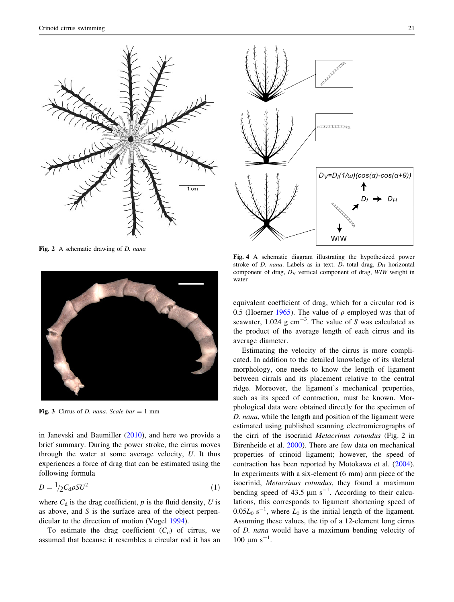<span id="page-2-0"></span>

Fig. 2 A schematic drawing of D. nana



Fig. 3 Cirrus of D. nana. Scale bar  $= 1$  mm

in Janevski and Baumiller [\(2010](#page-4-0)), and here we provide a brief summary. During the power stroke, the cirrus moves through the water at some average velocity,  $U$ . It thus experiences a force of drag that can be estimated using the following formula

$$
D = \frac{1}{2} C_d \rho S U^2 \tag{1}
$$

where  $C_d$  is the drag coefficient, p is the fluid density, U is as above, and S is the surface area of the object perpendicular to the direction of motion (Vogel [1994](#page-4-0)).

To estimate the drag coefficient  $(C_d)$  of cirrus, we assumed that because it resembles a circular rod it has an



Fig. 4 A schematic diagram illustrating the hypothesized power stroke of D. nana. Labels as in text:  $D_t$  total drag,  $D_H$  horizontal component of drag,  $D_V$  vertical component of drag, WIW weight in water

equivalent coefficient of drag, which for a circular rod is 0.5 (Hoerner [1965](#page-4-0)). The value of  $\rho$  employed was that of seawater, 1.024 g cm<sup>-3</sup>. The value of S was calculated as the product of the average length of each cirrus and its average diameter.

Estimating the velocity of the cirrus is more complicated. In addition to the detailed knowledge of its skeletal morphology, one needs to know the length of ligament between cirrals and its placement relative to the central ridge. Moreover, the ligament's mechanical properties, such as its speed of contraction, must be known. Morphological data were obtained directly for the specimen of D. nana, while the length and position of the ligament were estimated using published scanning electromicrographs of the cirri of the isocrinid Metacrinus rotundus (Fig. 2 in Birenheide et al. [2000\)](#page-4-0). There are few data on mechanical properties of crinoid ligament; however, the speed of contraction has been reported by Motokawa et al. [\(2004](#page-4-0)). In experiments with a six-element (6 mm) arm piece of the isocrinid, Metacrinus rotundus, they found a maximum bending speed of 43.5  $\mu$ m s<sup>-1</sup>. According to their calculations, this corresponds to ligament shortening speed of  $0.05L_0$  s<sup>-1</sup>, where  $L_0$  is the initial length of the ligament. Assuming these values, the tip of a 12-element long cirrus of D. nana would have a maximum bending velocity of 100  $\mu$ m s<sup>-1</sup>.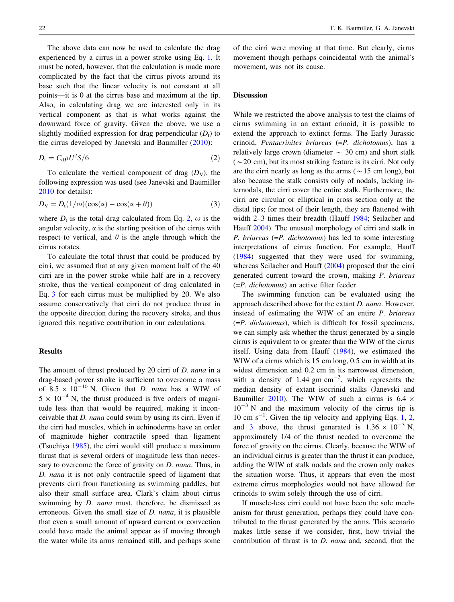The above data can now be used to calculate the drag experienced by a cirrus in a power stroke using Eq. [1.](#page-2-0) It must be noted, however, that the calculation is made more complicated by the fact that the cirrus pivots around its base such that the linear velocity is not constant at all points—it is 0 at the cirrus base and maximum at the tip. Also, in calculating drag we are interested only in its vertical component as that is what works against the downward force of gravity. Given the above, we use a slightly modified expression for drag perpendicular  $(D<sub>t</sub>)$  to the cirrus developed by Janevski and Baumiller ([2010\)](#page-4-0):

$$
D_{\rm t} = C_{\rm d}\rho U^2 S/6\tag{2}
$$

To calculate the vertical component of drag  $(D_V)$ , the following expression was used (see Janevski and Baumiller [2010](#page-4-0) for details):

$$
D_{\rm V} = D_{\rm t}(1/\omega)(\cos(\alpha) - \cos(\alpha + \theta))\tag{3}
$$

where  $D_t$  is the total drag calculated from Eq. 2,  $\omega$  is the angular velocity,  $\alpha$  is the starting position of the cirrus with respect to vertical, and  $\theta$  is the angle through which the cirrus rotates.

To calculate the total thrust that could be produced by cirri, we assumed that at any given moment half of the 40 cirri are in the power stroke while half are in a recovery stroke, thus the vertical component of drag calculated in Eq. 3 for each cirrus must be multiplied by 20. We also assume conservatively that cirri do not produce thrust in the opposite direction during the recovery stroke, and thus ignored this negative contribution in our calculations.

### **Results**

The amount of thrust produced by 20 cirri of *D. nana* in a drag-based power stroke is sufficient to overcome a mass of  $8.5 \times 10^{-10}$  N. Given that D. nana has a WIW of  $5 \times 10^{-4}$  N, the thrust produced is five orders of magnitude less than that would be required, making it inconceivable that D. nana could swim by using its cirri. Even if the cirri had muscles, which in echinoderms have an order of magnitude higher contractile speed than ligament (Tsuchiya [1985](#page-4-0)), the cirri would still produce a maximum thrust that is several orders of magnitude less than necessary to overcome the force of gravity on *D. nana*. Thus, in D. nana it is not only contractile speed of ligament that prevents cirri from functioning as swimming paddles, but also their small surface area. Clark's claim about cirrus swimming by *D. nana* must, therefore, be dismissed as erroneous. Given the small size of D. nana, it is plausible that even a small amount of upward current or convection could have made the animal appear as if moving through the water while its arms remained still, and perhaps some of the cirri were moving at that time. But clearly, cirrus movement though perhaps coincidental with the animal's movement, was not its cause.

## Discussion

While we restricted the above analysis to test the claims of cirrus swimming in an extant crinoid, it is possible to extend the approach to extinct forms. The Early Jurassic crinoid, Pentacrinites briareus (=P. dichotomus), has a relatively large crown (diameter  $\sim$  30 cm) and short stalk  $({\sim}20 \text{ cm})$ , but its most striking feature is its cirri. Not only are the cirri nearly as long as the arms ( $\sim$  15 cm long), but also because the stalk consists only of nodals, lacking internodals, the cirri cover the entire stalk. Furthermore, the cirri are circular or elliptical in cross section only at the distal tips; for most of their length, they are flattened with width 2–3 times their breadth (Hauff [1984](#page-4-0); Seilacher and Hauff [2004](#page-4-0)). The unusual morphology of cirri and stalk in P. briareus (=P. dichotomus) has led to some interesting interpretations of cirrus function. For example, Hauff [\(1984](#page-4-0)) suggested that they were used for swimming, whereas Seilacher and Hauff ([2004\)](#page-4-0) proposed that the cirri generated current toward the crown, making P. briareus (=P. dichotomus) an active filter feeder.

The swimming function can be evaluated using the approach described above for the extant D. nana. However, instead of estimating the WIW of an entire P. briareus  $(=P.$  dichotomus), which is difficult for fossil specimens, we can simply ask whether the thrust generated by a single cirrus is equivalent to or greater than the WIW of the cirrus itself. Using data from Hauff ([1984\)](#page-4-0), we estimated the WIW of a cirrus which is 15 cm long, 0.5 cm in width at its widest dimension and 0.2 cm in its narrowest dimension, with a density of 1.44 gm  $cm^{-3}$ , which represents the median density of extant isocrinid stalks (Janevski and Baumiller [2010\)](#page-4-0). The WIW of such a cirrus is  $6.4 \times$  $10^{-3}$  N and the maximum velocity of the cirrus tip is 10 cm  $s^{-1}$ . Given the tip velocity and applying Eqs. [1,](#page-2-0) 2, and 3 above, the thrust generated is  $1.36 \times 10^{-3}$  N, approximately 1/4 of the thrust needed to overcome the force of gravity on the cirrus. Clearly, because the WIW of an individual cirrus is greater than the thrust it can produce, adding the WIW of stalk nodals and the crown only makes the situation worse. Thus, it appears that even the most extreme cirrus morphologies would not have allowed for crinoids to swim solely through the use of cirri.

If muscle-less cirri could not have been the sole mechanism for thrust generation, perhaps they could have contributed to the thrust generated by the arms. This scenario makes little sense if we consider, first, how trivial the contribution of thrust is to D. nana and, second, that the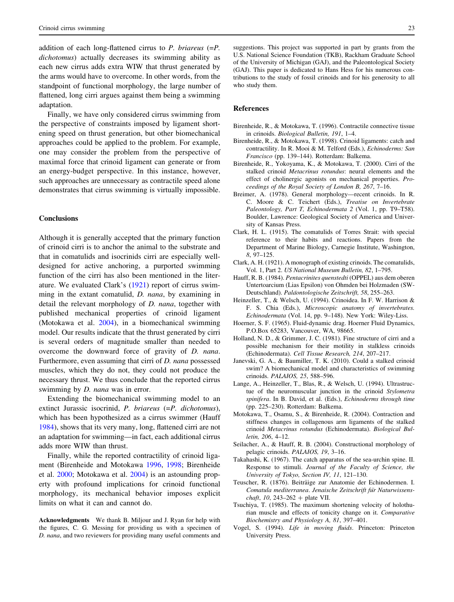<span id="page-4-0"></span>addition of each long-flattened cirrus to P. briareus  $(=P)$ . dichotomus) actually decreases its swimming ability as each new cirrus adds extra WIW that thrust generated by the arms would have to overcome. In other words, from the standpoint of functional morphology, the large number of flattened, long cirri argues against them being a swimming adaptation.

Finally, we have only considered cirrus swimming from the perspective of constraints imposed by ligament shortening speed on thrust generation, but other biomechanical approaches could be applied to the problem. For example, one may consider the problem from the perspective of maximal force that crinoid ligament can generate or from an energy-budget perspective. In this instance, however, such approaches are unnecessary as contractile speed alone demonstrates that cirrus swimming is virtually impossible.

#### **Conclusions**

Although it is generally accepted that the primary function of crinoid cirri is to anchor the animal to the substrate and that in comatulids and isocrinids cirri are especially welldesigned for active anchoring, a purported swimming function of the cirri has also been mentioned in the literature. We evaluated Clark's (1921) report of cirrus swimming in the extant comatulid, D. nana, by examining in detail the relevant morphology of D. nana, together with published mechanical properties of crinoid ligament (Motokawa et al. 2004), in a biomechanical swimming model. Our results indicate that the thrust generated by cirri is several orders of magnitude smaller than needed to overcome the downward force of gravity of D. nana. Furthermore, even assuming that cirri of D. nana possessed muscles, which they do not, they could not produce the necessary thrust. We thus conclude that the reported cirrus swimming by *D. nana* was in error.

Extending the biomechanical swimming model to an extinct Jurassic isocrinid, P. briareus (=P. dichotomus), which has been hypothesized as a cirrus swimmer (Hauff 1984), shows that its very many, long, flattened cirri are not an adaptation for swimming—in fact, each additional cirrus adds more WIW than thrust.

Finally, while the reported contractility of crinoid ligament (Birenheide and Motokawa 1996, 1998; Birenheide et al. 2000; Motokawa et al. 2004) is an astounding property with profound implications for crinoid functional morphology, its mechanical behavior imposes explicit limits on what it can and cannot do.

Acknowledgments We thank B. Miljour and J. Ryan for help with the figures, C. G. Messing for providing us with a specimen of D. nana, and two reviewers for providing many useful comments and

suggestions. This project was supported in part by grants from the U.S. National Science Foundation (TKB), Rackham Graduate School of the University of Michigan (GAJ), and the Paleontological Society (GAJ). This paper is dedicated to Hans Hess for his numerous contributions to the study of fossil crinoids and for his generosity to all who study them.

## References

- Birenheide, R., & Motokawa, T. (1996). Contractile connective tissue in crinoids. Biological Bulletin, 191, 1–4.
- Birenheide, R., & Motokawa, T. (1998). Crinoid ligaments: catch and contractility. In R. Mooi & M. Telford (Eds.), Echinoderms: San Francisco (pp. 139–144). Rotterdam: Balkema.
- Birenheide, R., Yokoyama, K., & Motokawa, T. (2000). Cirri of the stalked crinoid Metacrinus rotundus: neural elements and the effect of cholinergic agonists on mechanical properties. Proceedings of the Royal Society of London B, 267, 7–16.
- Breimer, A. (1978). General morphology—recent crinoids. In R. C. Moore & C. Teichert (Eds.), Treatise on Invertebrate Paleontology, Part T, Echinodermata 2 (Vol. 1, pp. T9–T58). Boulder, Lawrence: Geological Society of America and University of Kansas Press.
- Clark, H. L. (1915). The comatulids of Torres Strait: with special reference to their habits and reactions. Papers from the Department of Marine Biology, Carnegie Institute, Washington, 8, 97–125.
- Clark, A. H. (1921). A monograph of existing crinoids. The comatulids, Vol. 1, Part 2. US National Museum Bulletin, 82, 1–795.
- Hauff, R. B. (1984). Pentacrinites quenstedti (OPPEL) aus dem oberen Untertoarcium (Lias Epsilon) von Ohmden bei Holzmaden (SW-Deutschland). Paläontologische Zeitschrift, 58, 255–263.
- Heinzeller, T., & Welsch, U. (1994). Crinoidea. In F. W. Harrison & F. S. Chia (Eds.), Microscopic anatomy of invertebrates. Echinodermata (Vol. 14, pp. 9–148). New York: Wiley-Liss.
- Hoerner, S. F. (1965). Fluid-dynamic drag. Hoerner Fluid Dynamics, P.O.Box 65283, Vancouver, WA, 98665.
- Holland, N. D., & Grimmer, J. C. (1981). Fine structure of cirri and a possible mechanism for their motility in stalkless crinoids (Echinodermata). Cell Tissue Research, 214, 207–217.
- Janevski, G. A., & Baumiller, T. K. (2010). Could a stalked crinoid swim? A biomechanical model and characteristics of swimming crinoids. PALAIOS, 25, 588–596.
- Lange, A., Heinzeller, T., Blas, R., & Welsch, U. (1994). Ultrastructue of the neuromuscular junction in the crinoid Stylometra spinifera. In B. David, et al. (Eds.), Echinoderms through time (pp. 225–230). Rotterdam: Balkema.
- Motokawa, T., Osamu, S., & Birenheide, R. (2004). Contraction and stiffness changes in collagenous arm ligaments of the stalked crinoid Metacrinus rotundus (Echinodermata). Biological Bulletin, 206, 4–12.
- Seilacher, A., & Hauff, R. B. (2004). Constructional morphology of pelagic crinoids. PALAIOS, 19, 3–16.
- Takahashi, K. (1967). The catch apparatus of the sea-urchin spine. II. Response to stimuli. Journal of the Faculty of Science, the University of Tokyo, Section IV, 11, 121–130.
- Teuscher, R. (1876). Beitra¨ige zur Anatomie der Echinodermen. I. Comatula mediterranea. Jenaische Zeitschrift für Naturwissens $chaff$ , 10, 243–262 + plate VII.
- Tsuchiya, T. (1985). The maximum shortening velocity of holothurian muscle and effects of tonicity change on it. Comparative Biochemistry and Physiology A, 81, 397–401.
- Vogel, S. (1994). Life in moving fluids. Princeton: Princeton University Press.